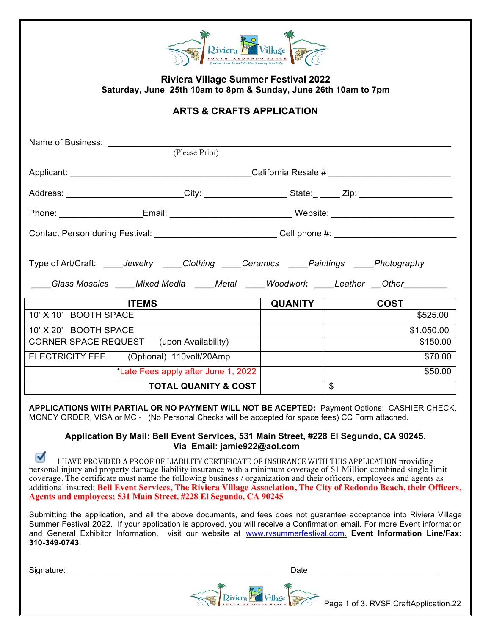| <b>Riviera</b><br><b>REDO</b><br>NDO BEACH<br>OUTH<br>Follow Your Heart to the Soul of the City |  |
|-------------------------------------------------------------------------------------------------|--|

**Riviera Village Summer Festival 2022 Saturday, June 25th 10am to 8pm & Sunday, June 26th 10am to 7pm** 

## **ARTS & CRAFTS APPLICATION**

| Name of Business: Name of Business:                                                                                                                                                 |                                                                                                                |                |  |
|-------------------------------------------------------------------------------------------------------------------------------------------------------------------------------------|----------------------------------------------------------------------------------------------------------------|----------------|--|
| (Please Print)                                                                                                                                                                      |                                                                                                                |                |  |
|                                                                                                                                                                                     |                                                                                                                |                |  |
|                                                                                                                                                                                     |                                                                                                                |                |  |
|                                                                                                                                                                                     | Phone: ______________________Email: _________________________________Website: ________________________________ |                |  |
| Contact Person during Festival: _____________________________Cell phone #: _________________________                                                                                |                                                                                                                |                |  |
| Type of Art/Craft: _____Jewelry _____Clothing _____Ceramics _____Paintings _____Photography<br>____Glass Mosaics ____Mixed Media ____Metal ____Woodwork ____Leather __Other________ |                                                                                                                |                |  |
| <b>ITEMS</b>                                                                                                                                                                        | <b>QUANITY</b>                                                                                                 | <b>COST</b>    |  |
| 10' X 10' BOOTH SPACE                                                                                                                                                               |                                                                                                                | \$525.00       |  |
| 10' X 20' BOOTH SPACE                                                                                                                                                               |                                                                                                                | \$1,050.00     |  |
| CORNER SPACE REQUEST (upon Availability)                                                                                                                                            |                                                                                                                | \$150.00       |  |
| ELECTRICITY FEE (Optional) 110volt/20Amp                                                                                                                                            |                                                                                                                | \$70.00        |  |
| *Late Fees apply after June 1, 2022                                                                                                                                                 |                                                                                                                | \$50.00        |  |
| <b>TOTAL QUANITY &amp; COST</b>                                                                                                                                                     |                                                                                                                | $\mathfrak{L}$ |  |

**APPLICATIONS WITH PARTIAL OR NO PAYMENT WILL NOT BE ACEPTED:** Payment Options: CASHIER CHECK, MONEY ORDER, VISA or MC - (No Personal Checks will be accepted for space fees) CC Form attached.

## **Application By Mail: Bell Event Services, 531 Main Street, #228 El Segundo, CA 90245. Via Email: jamie922@aol.com**

☑ I HAVE PROVIDED A PROOF OF LIABILITY CERTIFICATE OF INSURANCE WITH THIS APPLICATION providing personal injury and property damage liability insurance with a minimum coverage of \$1 Million combined single limit coverage. The certificate must name the following business / organization and their officers, employees and agents as additional insured; **Bell Event Services, The Riviera Village Association, The City of Redondo Beach, their Officers, Agents and employees; 531 Main Street, #228 El Segundo, CA 90245**

Submitting the application, and all the above documents, and fees does not guarantee acceptance into Riviera Village Summer Festival 2022. If your application is approved, you will receive a Confirmation email. For more Event information and General Exhibitor Information, visit our website at www.rvsummerfestival.com. **Event Information Line/Fax: 310-349-0743**.

Signature: \_\_\_\_\_\_\_\_\_\_\_\_\_\_\_\_\_\_\_\_\_\_\_\_\_\_\_\_\_\_\_\_\_\_\_\_\_\_\_\_\_\_\_\_\_\_\_\_\_ Date\_\_\_\_\_\_\_\_\_\_\_\_\_\_\_\_\_\_\_\_\_\_\_\_\_\_\_\_\_

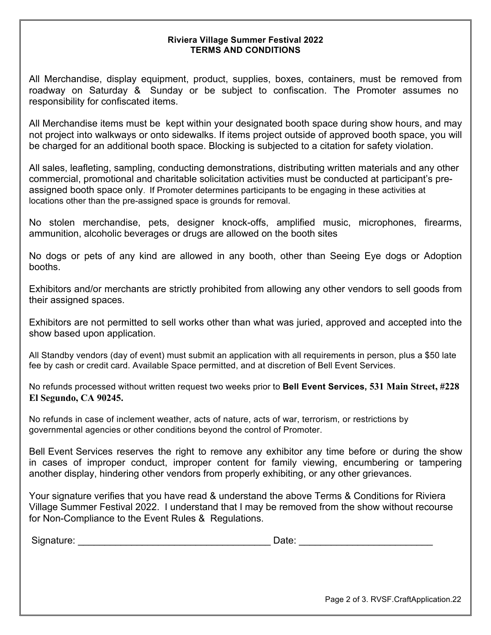## **Riviera Village Summer Festival 2022 TERMS AND CONDITIONS**

All Merchandise, display equipment, product, supplies, boxes, containers, must be removed from roadway on Saturday & Sunday or be subject to confiscation. The Promoter assumes no responsibility for confiscated items.

All Merchandise items must be kept within your designated booth space during show hours, and may not project into walkways or onto sidewalks. If items project outside of approved booth space, you will be charged for an additional booth space. Blocking is subjected to a citation for safety violation.

All sales, leafleting, sampling, conducting demonstrations, distributing written materials and any other commercial, promotional and charitable solicitation activities must be conducted at participant's preassigned booth space only. If Promoter determines participants to be engaging in these activities at locations other than the pre-assigned space is grounds for removal.

No stolen merchandise, pets, designer knock-offs, amplified music, microphones, firearms, ammunition, alcoholic beverages or drugs are allowed on the booth sites

No dogs or pets of any kind are allowed in any booth, other than Seeing Eye dogs or Adoption booths.

Exhibitors and/or merchants are strictly prohibited from allowing any other vendors to sell goods from their assigned spaces.

Exhibitors are not permitted to sell works other than what was juried, approved and accepted into the show based upon application.

All Standby vendors (day of event) must submit an application with all requirements in person, plus a \$50 late fee by cash or credit card. Available Space permitted, and at discretion of Bell Event Services.

No refunds processed without written request two weeks prior to **Bell Event Services, 531 Main Street, #228 El Segundo, CA 90245.**

No refunds in case of inclement weather, acts of nature, acts of war, terrorism, or restrictions by governmental agencies or other conditions beyond the control of Promoter.

Bell Event Services reserves the right to remove any exhibitor any time before or during the show in cases of improper conduct, improper content for family viewing, encumbering or tampering another display, hindering other vendors from properly exhibiting, or any other grievances.

Your signature verifies that you have read & understand the above Terms & Conditions for Riviera Village Summer Festival 2022. I understand that I may be removed from the show without recourse for Non-Compliance to the Event Rules & Regulations.

Signature: \_\_\_\_\_\_\_\_\_\_\_\_\_\_\_\_\_\_\_\_\_\_\_\_\_\_\_\_\_\_\_\_\_\_\_\_ Date: \_\_\_\_\_\_\_\_\_\_\_\_\_\_\_\_\_\_\_\_\_\_\_\_\_